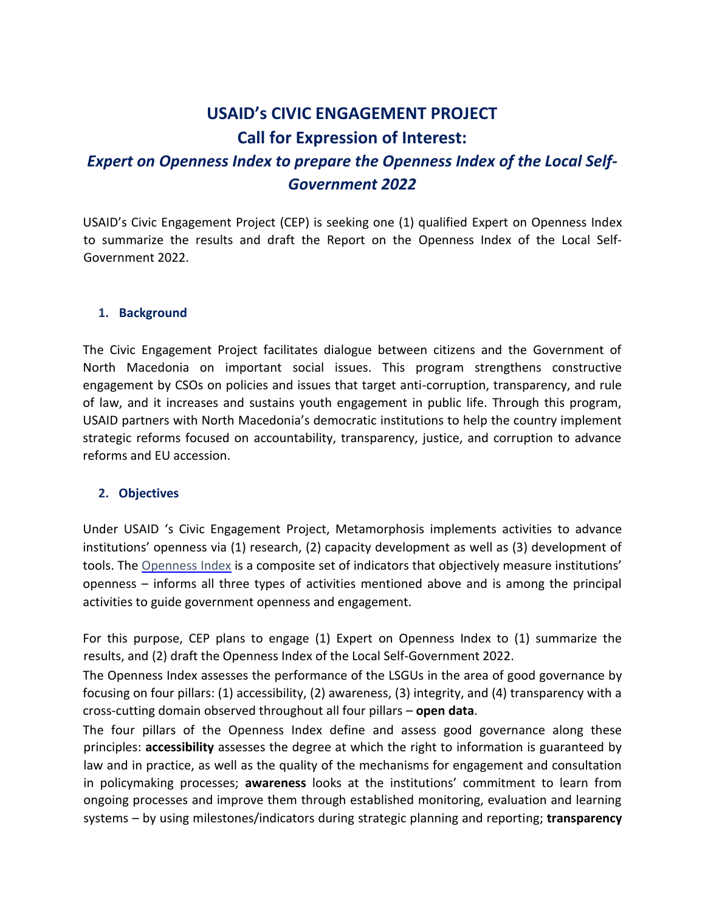# **USAID's CIVIC ENGAGEMENT PROJECT Call for Expression of Interest:**

# *Expert on Openness Index to prepare the Openness Index of the Local Self-Government 2022*

USAID's Civic Engagement Project (CEP) is seeking one (1) qualified Expert on Openness Index to summarize the results and draft the Report on the Openness Index of the Local Self-Government 2022.

#### **1. Background**

The Civic Engagement Project facilitates dialogue between citizens and the Government of North Macedonia on important social issues. This program strengthens constructive engagement by CSOs on policies and issues that target anti-corruption, transparency, and rule of law, and it increases and sustains youth engagement in public life. Through this program, USAID partners with North Macedonia's democratic institutions to help the country implement strategic reforms focused on accountability, transparency, justice, and corruption to advance reforms and EU accession.

#### **2. Objectives**

Under USAID 's Civic Engagement Project, Metamorphosis implements activities to advance institutions' openness via (1) research, (2) capacity development as well as (3) development of tools. The [Openness](https://metamorphosis.org.mk/en/aktivnosti_arhiva/openness-index-of-the-local-self-government-2021/) Index [i](https://opennessindex.actionsee.org/)s a composite set of indicators that objectively measure institutions' openness – informs all three types of activities mentioned above and is among the principal activities to guide government openness and engagement.

For this purpose, CEP plans to engage (1) Expert on Openness Index to (1) summarize the results, and (2) draft the Openness Index of the Local Self-Government 2022.

The Openness Index assesses the performance of the LSGUs in the area of good governance by focusing on four pillars: (1) accessibility, (2) awareness, (3) integrity, and (4) transparency with a cross-cutting domain observed throughout all four pillars – **open data**.

The four pillars of the Openness Index define and assess good governance along these principles: **accessibility** assesses the degree at which the right to information is guaranteed by law and in practice, as well as the quality of the mechanisms for engagement and consultation in policymaking processes; **awareness** looks at the institutions' commitment to learn from ongoing processes and improve them through established monitoring, evaluation and learning systems – by using milestones/indicators during strategic planning and reporting; **transparency**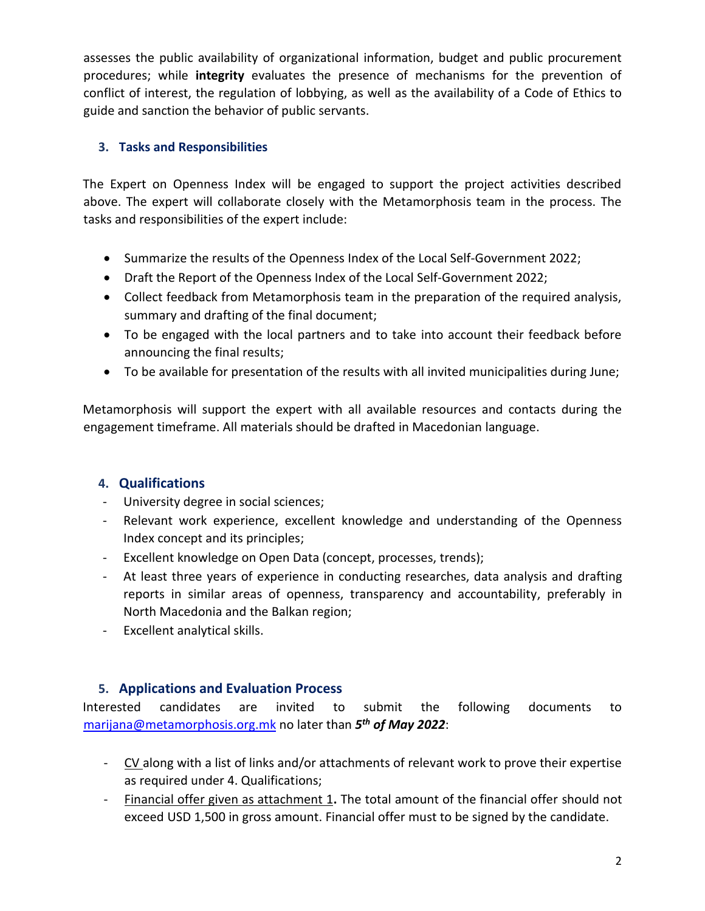assesses the public availability of organizational information, budget and public procurement procedures; while **integrity** evaluates the presence of mechanisms for the prevention of conflict of interest, the regulation of lobbying, as well as the availability of a Code of Ethics to guide and sanction the behavior of public servants.

### **3. Tasks and Responsibilities**

The Expert on Openness Index will be engaged to support the project activities described above. The expert will collaborate closely with the Metamorphosis team in the process. The tasks and responsibilities of the expert include:

- Summarize the results of the Openness Index of the Local Self-Government 2022;
- Draft the Report of the Openness Index of the Local Self-Government 2022;
- Collect feedback from Metamorphosis team in the preparation of the required analysis, summary and drafting of the final document;
- To be engaged with the local partners and to take into account their feedback before announcing the final results;
- To be available for presentation of the results with all invited municipalities during June;

Metamorphosis will support the expert with all available resources and contacts during the engagement timeframe. All materials should be drafted in Macedonian language.

### **4. Qualifications**

- University degree in social sciences;
- Relevant work experience, excellent knowledge and understanding of the Openness Index concept and its principles;
- Excellent knowledge on Open Data (concept, processes, trends);
- At least three years of experience in conducting researches, data analysis and drafting reports in similar areas of openness, transparency and accountability, preferably in North Macedonia and the Balkan region;
- Excellent analytical skills.

## **5. Applications and Evaluation Process**

Interested candidates are invited to submit the following documents to marijana@metamorphosis.org.mk no later than *5 th of May 2022*:

- CV along with a list of links and/or attachments of relevant work to prove their expertise as required under 4. Qualifications;
- Financial offer given as attachment 1**.** The total amount of the financial offer should not exceed USD 1,500 in gross amount. Financial offer must to be signed by the candidate.